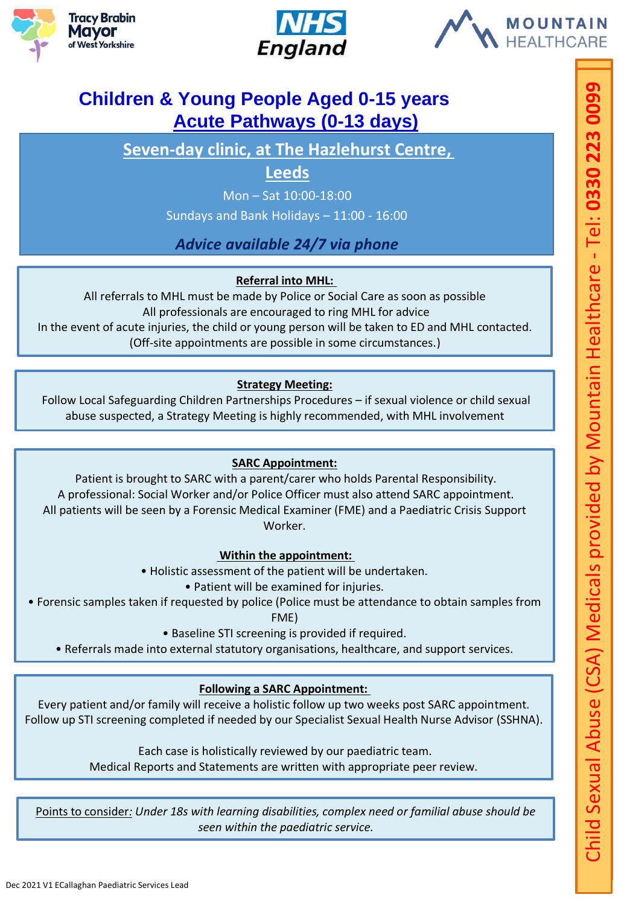





# **Children & Young People Aged 0-15 years Acute Pathways (0-13 days)**

**Seven-day clinic, at The Hazlehurst Centre,** 

## **Leeds**

Mon – Sat 10:00-18:00

Sundays and Bank Holidays – 11:00 - 16:00

## *Advice available 24/7 via phone*

### **Referral into MHL:**

All referrals to MHL must be made by Police or Social Care as soon as possible All professionals are encouraged to ring MHL for advice In the event of acute injuries, the child or young person will be taken to ED and MHL contacted. (Off-site appointments are possible in some circumstances.)

### **Strategy Meeting:**

Follow Local Safeguarding Children Partnerships Procedures – if sexual violence or child sexual abuse suspected, a Strategy Meeting is highly recommended, with MHL involvement

### **SARC Appointment:**

Patient is brought to SARC with a parent/carer who holds Parental Responsibility. A professional: Social Worker and/or Police Officer must also attend SARC appointment. All patients will be seen by a Forensic Medical Examiner (FME) and a Paediatric Crisis Support Worker.

### **Within the appointment:**

• Holistic assessment of the patient will be undertaken.

• Patient will be examined for injuries.

• Forensic samples taken if requested by police (Police must be attendance to obtain samples from

FME)

• Baseline STI screening is provided if required.

• Referrals made into external statutory organisations, healthcare, and support services.

### **Following a SARC Appointment:**

Every patient and/or family will receive a holistic follow up two weeks post SARC appointment. Follow up STI screening completed if needed by our Specialist Sexual Health Nurse Advisor (SSHNA).

Each case is holistically reviewed by our paediatric team.

Medical Reports and Statements are written with appropriate peer review.

Points to consider*: Under 18s with learning disabilities, complex need or familial abuse should be seen within the paediatric service.*